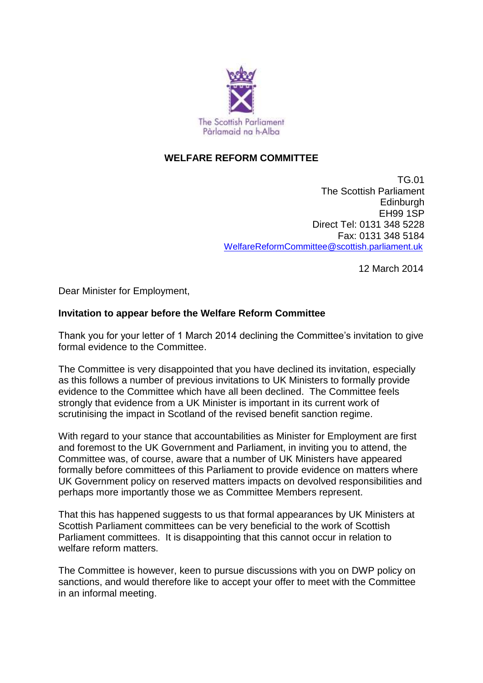

## **WELFARE REFORM COMMITTEE**

TG.01 The Scottish Parliament **Edinburgh** EH99 1SP Direct Tel: 0131 348 5228 Fax: 0131 348 5184 [WelfareReformCommittee@scottish.parliament.uk](mailto:WelfareReformCommittee@scottish.parliament.uk)

12 March 2014

Dear Minister for Employment,

## **Invitation to appear before the Welfare Reform Committee**

Thank you for your letter of 1 March 2014 declining the Committee's invitation to give formal evidence to the Committee.

The Committee is very disappointed that you have declined its invitation, especially as this follows a number of previous invitations to UK Ministers to formally provide evidence to the Committee which have all been declined. The Committee feels strongly that evidence from a UK Minister is important in its current work of scrutinising the impact in Scotland of the revised benefit sanction regime.

With regard to your stance that accountabilities as Minister for Employment are first and foremost to the UK Government and Parliament, in inviting you to attend, the Committee was, of course, aware that a number of UK Ministers have appeared formally before committees of this Parliament to provide evidence on matters where UK Government policy on reserved matters impacts on devolved responsibilities and perhaps more importantly those we as Committee Members represent.

That this has happened suggests to us that formal appearances by UK Ministers at Scottish Parliament committees can be very beneficial to the work of Scottish Parliament committees. It is disappointing that this cannot occur in relation to welfare reform matters.

The Committee is however, keen to pursue discussions with you on DWP policy on sanctions, and would therefore like to accept your offer to meet with the Committee in an informal meeting.